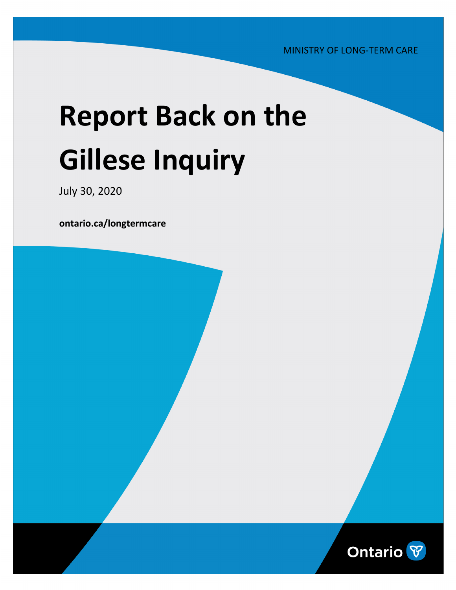MINISTRY OF LONG-TERM CARE

# **Report Back on the Gillese Inquiry**

July 30, 2020

**[ontario.ca/longtermcare](http://ontario.ca/longtermcare)**

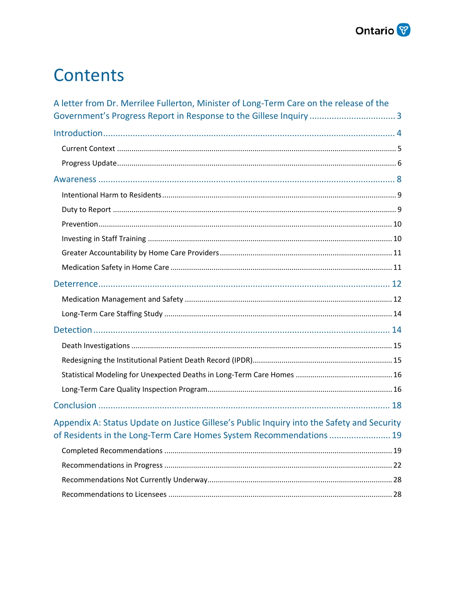

### **Contents**

| A letter from Dr. Merrilee Fullerton, Minister of Long-Term Care on the release of the                                                                            |  |
|-------------------------------------------------------------------------------------------------------------------------------------------------------------------|--|
|                                                                                                                                                                   |  |
|                                                                                                                                                                   |  |
|                                                                                                                                                                   |  |
|                                                                                                                                                                   |  |
|                                                                                                                                                                   |  |
|                                                                                                                                                                   |  |
|                                                                                                                                                                   |  |
|                                                                                                                                                                   |  |
|                                                                                                                                                                   |  |
|                                                                                                                                                                   |  |
|                                                                                                                                                                   |  |
|                                                                                                                                                                   |  |
|                                                                                                                                                                   |  |
|                                                                                                                                                                   |  |
|                                                                                                                                                                   |  |
|                                                                                                                                                                   |  |
|                                                                                                                                                                   |  |
|                                                                                                                                                                   |  |
|                                                                                                                                                                   |  |
|                                                                                                                                                                   |  |
| Appendix A: Status Update on Justice Gillese's Public Inquiry into the Safety and Security<br>of Residents in the Long-Term Care Homes System Recommendations  19 |  |
|                                                                                                                                                                   |  |
|                                                                                                                                                                   |  |
|                                                                                                                                                                   |  |
|                                                                                                                                                                   |  |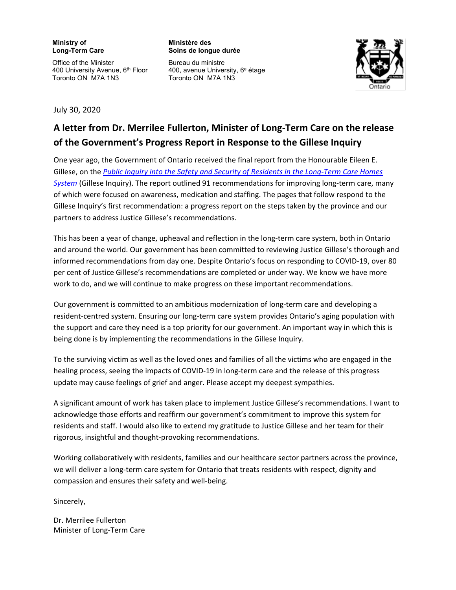#### **Ministry of Long-Term Care**

Office of the Minister 400 University Avenue, 6<sup>th</sup> Floor Toronto ON M7A 1N3

**Ministère des Soins de longue durée** 

Bureau du ministre 400, avenue University, 6e étage Toronto ON M7A 1N3



July 30, 2020

#### <span id="page-2-0"></span>**A letter from Dr. Merrilee Fullerton, Minister of Long-Term Care on the release of the Government's Progress Report in Response to the Gillese Inquiry**

One year ago, the Government of Ontario received the final report from the Honourable Eileen E. Gillese, on the *Public Inquiry into the Safety and Security of Residents in the Long-Term Care Homes System* [\(Gillese Inquiry\). The report outlined 91 recommendations for improving long-term care, ma](https://longtermcareinquiry.ca/en/final-report/)ny of which were focused on awareness, medication and staffing. The pages that follow respond to the Gillese Inquiry's first recommendation: a progress report on the steps taken by the province and our partners to address Justice Gillese's recommendations.

This has been a year of change, upheaval and reflection in the long-term care system, both in Ontario and around the world. Our government has been committed to reviewing Justice Gillese's thorough and informed recommendations from day one. Despite Ontario's focus on responding to COVID-19, over 80 per cent of Justice Gillese's recommendations are completed or under way. We know we have more work to do, and we will continue to make progress on these important recommendations.

Our government is committed to an ambitious modernization of long-term care and developing a resident-centred system. Ensuring our long-term care system provides Ontario's aging population with the support and care they need is a top priority for our government. An important way in which this is being done is by implementing the recommendations in the Gillese Inquiry.

To the surviving victim as well as the loved ones and families of all the victims who are engaged in the healing process, seeing the impacts of COVID-19 in long-term care and the release of this progress update may cause feelings of grief and anger. Please accept my deepest sympathies.

A significant amount of work has taken place to implement Justice Gillese's recommendations. I want to acknowledge those efforts and reaffirm our government's commitment to improve this system for residents and staff. I would also like to extend my gratitude to Justice Gillese and her team for their rigorous, insightful and thought-provoking recommendations.

Working collaboratively with residents, families and our healthcare sector partners across the province, we will deliver a long-term care system for Ontario that treats residents with respect, dignity and compassion and ensures their safety and well-being.

Sincerely,

Dr. Merrilee Fullerton Minister of Long-Term Care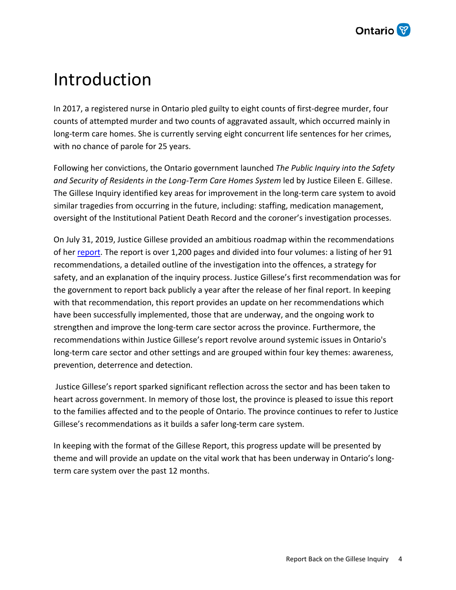

### <span id="page-3-0"></span>Introduction

In 2017, a registered nurse in Ontario pled guilty to eight counts of first-degree murder, four counts of attempted murder and two counts of aggravated assault, which occurred mainly in long-term care homes. She is currently serving eight concurrent life sentences for her crimes, with no chance of parole for 25 years.

Following her convictions, the Ontario government launched *The Public Inquiry into the Safety and Security of Residents in the Long-Term Care Homes System* led by Justice Eileen E. Gillese. The Gillese Inquiry identified key areas for improvement in the long-term care system to avoid similar tragedies from occurring in the future, including: staffing, medication management, oversight of the Institutional Patient Death Record and the coroner's investigation processes.

On July 31, 2019, Justice Gillese provided an ambitious roadmap within the recommendations of her [report.](https://longtermcareinquiry.ca/en/final-report/) The report is over 1,200 pages and divided into four volumes: a listing of her 91 recommendations, a detailed outline of the investigation into the offences, a strategy for safety, and an explanation of the inquiry process. Justice Gillese's first recommendation was for the government to report back publicly a year after the release of her final report. In keeping with that recommendation, this report provides an update on her recommendations which have been successfully implemented, those that are underway, and the ongoing work to strengthen and improve the long-term care sector across the province. Furthermore, the recommendations within Justice Gillese's report revolve around systemic issues in Ontario's long-term care sector and other settings and are grouped within four key themes: awareness, prevention, deterrence and detection.

Justice Gillese's report sparked significant reflection across the sector and has been taken to heart across government. In memory of those lost, the province is pleased to issue this report to the families affected and to the people of Ontario. The province continues to refer to Justice Gillese's recommendations as it builds a safer long-term care system.

In keeping with the format of the Gillese Report, this progress update will be presented by theme and will provide an update on the vital work that has been underway in Ontario's longterm care system over the past 12 months.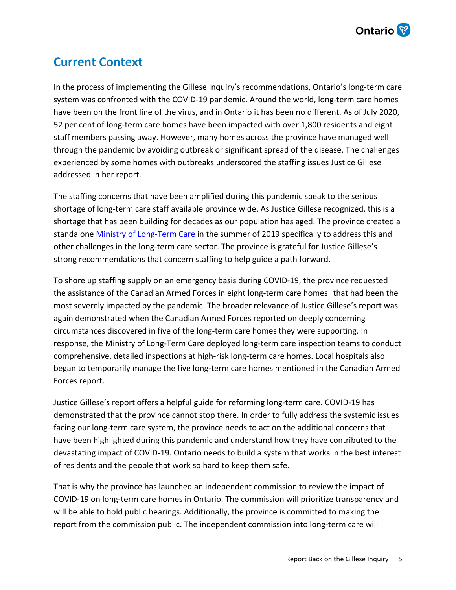

### <span id="page-4-0"></span>**Current Context**

In the process of implementing the Gillese Inquiry's recommendations, Ontario's long-term care system was confronted with the COVID-19 pandemic. Around the world, long-term care homes have been on the front line of the virus, and in Ontario it has been no different. As of July 2020, 52 per cent of long-term care homes have been impacted with over 1,800 residents and eight staff members passing away. However, many homes across the province have managed well through the pandemic by avoiding outbreak or significant spread of the disease. The challenges experienced by some homes with outbreaks underscored the staffing issues Justice Gillese addressed in her report.

The staffing concerns that have been amplified during this pandemic speak to the serious shortage of long-term care staff available province wide. As Justice Gillese recognized, this is a shortage that has been building for decades as our population has aged. The province created a standalone [Ministry of Long-Term Care](https://www.ontario.ca/longtermcare) in the summer of 2019 specifically to address this and other challenges in the long-term care sector. The province is grateful for Justice Gillese's strong recommendations that concern staffing to help guide a path forward.

To shore up staffing supply on an emergency basis during COVID-19, the province requested the assistance of the Canadian Armed Forces in eight long-term care homes that had been the most severely impacted by the pandemic. The broader relevance of Justice Gillese's report was again demonstrated when the Canadian Armed Forces reported on deeply concerning circumstances discovered in five of the long-term care homes they were supporting. In response, the Ministry of Long-Term Care deployed long-term care inspection teams to conduct comprehensive, detailed inspections at high-risk long-term care homes. Local hospitals also began to temporarily manage the five long-term care homes mentioned in the Canadian Armed Forces report.

Justice Gillese's report offers a helpful guide for reforming long-term care. COVID-19 has demonstrated that the province cannot stop there. In order to fully address the systemic issues facing our long-term care system, the province needs to act on the additional concerns that have been highlighted during this pandemic and understand how they have contributed to the devastating impact of COVID-19. Ontario needs to build a system that works in the best interest of residents and the people that work so hard to keep them safe.

That is why the province has launched an independent commission to review the impact of COVID-19 on long-term care homes in Ontario. The commission will prioritize transparency and will be able to hold public hearings. Additionally, the province is committed to making the report from the commission public. The independent commission into long-term care will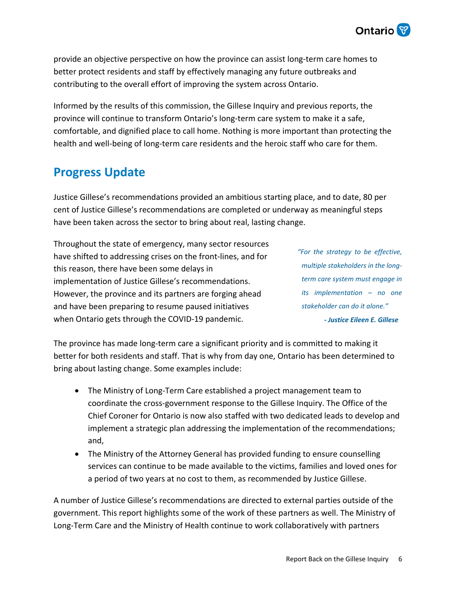

provide an objective perspective on how the province can assist long-term care homes to better protect residents and staff by effectively managing any future outbreaks and contributing to the overall effort of improving the system across Ontario.

Informed by the results of this commission, the Gillese Inquiry and previous reports, the province will continue to transform Ontario's long-term care system to make it a safe, comfortable, and dignified place to call home. Nothing is more important than protecting the health and well-being of long-term care residents and the heroic staff who care for them.

#### <span id="page-5-0"></span>**Progress Update**

Justice Gillese's recommendations provided an ambitious starting place, and to date, 80 per cent of Justice Gillese's recommendations are completed or underway as meaningful steps have been taken across the sector to bring about real, lasting change.

Throughout the state of emergency, many sector resources have shifted to addressing crises on the front-lines, and for this reason, there have been some delays in implementation of Justice Gillese's recommendations. However, the province and its partners are forging ahead and have been preparing to resume paused initiatives when Ontario gets through the COVID-19 pandemic.

*- Justice Eileen E. Gillese "For the strategy to be effective, multiple stakeholders in the longterm care system must engage in its implementation – no one stakeholder can do it alone."* 

The province has made long-term care a significant priority and is committed to making it better for both residents and staff. That is why from day one, Ontario has been determined to bring about lasting change. Some examples include:

- The Ministry of Long-Term Care established a project management team to coordinate the cross-government response to the Gillese Inquiry. The Office of the Chief Coroner for Ontario is now also staffed with two dedicated leads to develop and implement a strategic plan addressing the implementation of the recommendations; and,
- The Ministry of the Attorney General has provided funding to ensure counselling services can continue to be made available to the victims, families and loved ones for a period of two years at no cost to them, as recommended by Justice Gillese.

A number of Justice Gillese's recommendations are directed to external parties outside of the government. This report highlights some of the work of these partners as well. The Ministry of Long-Term Care and the Ministry of Health continue to work collaboratively with partners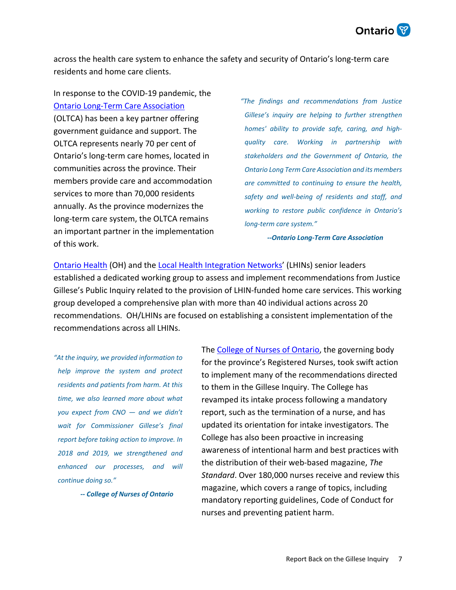

across the health care system to enhance the safety and security of Ontario's long-term care residents and home care clients.

In response to the COVID-19 pandemic, the [Ontario Long-Term Care Association](https://oltca.com/) (OLTCA) has been a key partner offering government guidance and support. The OLTCA represents nearly 70 per cent of Ontario's long-term care homes, located in communities across the province. Their members provide care and accommodation services to more than 70,000 residents annually. As the province modernizes the long-term care system, the OLTCA remains an important partner in the implementation of this work.

*"The findings and recommendations from Justice Gillese's inquiry are helping to further strengthen homes' ability to provide safe, caring, and highquality care. Working in partnership with stakeholders and the Government of Ontario, the Ontario Long Term Care Association and its members are committed to continuing to ensure the health, safety and well-being of residents and staff, and working to restore public confidence in Ontario's long-term care system."* 

*-- Ontario Long-Term Care Association*

[Ontario Health](https://www.ontariohealth.ca/) (OH) and the [Local Health Integration Networks](http://www.lhins.on.ca/)' (LHINs) senior leaders established a dedicated working group to assess and implement recommendations from Justice Gillese's Public Inquiry related to the provision of LHIN-funded home care services. This working group developed a comprehensive plan with more than 40 individual actions across 20 recommendations. OH/LHINs are focused on establishing a consistent implementation of the recommendations across all LHINs.

*"At the inquiry, we provided information to help improve the system and protect residents and patients from harm. At this time, we also learned more about what you expect from CNO — and we didn't wait for Commissioner Gillese's final report before taking action to improve. In 2018 and 2019, we strengthened and enhanced our processes, and will continue doing so."* 

*-- College of Nurses of Ontario*

The [College of Nurses of Ontario](https://www.cno.org/), the governing body for the province's Registered Nurses, took swift action to implement many of the recommendations directed to them in the Gillese Inquiry. The College has revamped its intake process following a mandatory report, such as the termination of a nurse, and has updated its orientation for intake investigators. The College has also been proactive in increasing awareness of intentional harm and best practices with the distribution of their web-based magazine, *The Standard*. Over 180,000 nurses receive and review this magazine, which covers a range of topics, including mandatory reporting guidelines, Code of Conduct for nurses and preventing patient harm.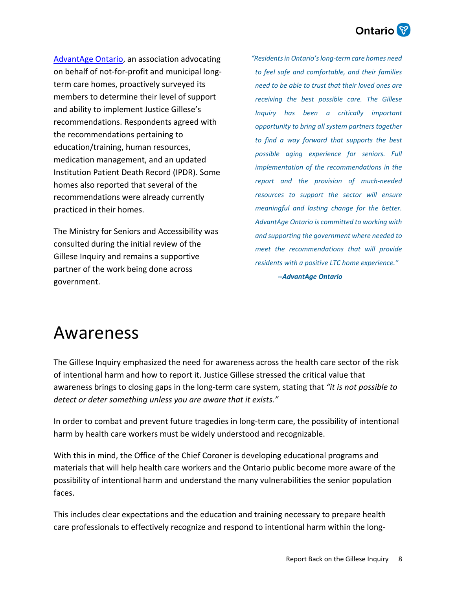### **Ontario**

[AdvantAge Ontario](http://www.advantageontario.ca/), an association advocating on behalf of not-for-profit and municipal longterm care homes, proactively surveyed its members to determine their level of support and ability to implement Justice Gillese's recommendations. Respondents agreed with the recommendations pertaining to education/training, human resources, medication management, and an updated Institution Patient Death Record (IPDR). Some homes also reported that several of the recommendations were already currently practiced in their homes.

The Ministry for Seniors and Accessibility was consulted during the initial review of the Gillese Inquiry and remains a supportive partner of the work being done across government.

*-- AdvantAge Ontario "Residents in Ontario's long-term care homes need to feel safe and comfortable, and their families need to be able to trust that their loved ones are receiving the best possible care. The Gillese Inquiry has been a critically important opportunity to bring all system partners together to find a way forward that supports the best possible aging experience for seniors. Full implementation of the recommendations in the report and the provision of much-needed resources to support the sector will ensure meaningful and lasting change for the better. AdvantAge Ontario is committed to working with and supporting the government where needed to meet the recommendations that will provide residents with a positive LTC home experience."*

### <span id="page-7-0"></span>Awareness

The Gillese Inquiry emphasized the need for awareness across the health care sector of the risk of intentional harm and how to report it. Justice Gillese stressed the critical value that awareness brings to closing gaps in the long-term care system, stating that *"it is not possible to detect or deter something unless you are aware that it exists."*

In order to combat and prevent future tragedies in long-term care, the possibility of intentional harm by health care workers must be widely understood and recognizable.

With this in mind, the Office of the Chief Coroner is developing educational programs and materials that will help health care workers and the Ontario public become more aware of the possibility of intentional harm and understand the many vulnerabilities the senior population faces.

This includes clear expectations and the education and training necessary to prepare health care professionals to effectively recognize and respond to intentional harm within the long-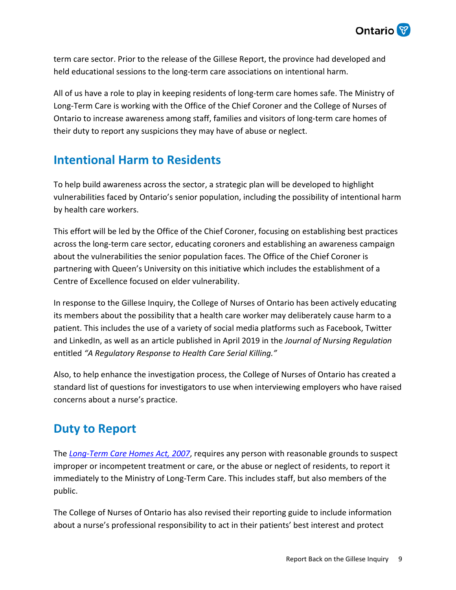

term care sector. Prior to the release of the Gillese Report, the province had developed and held educational sessions to the long-term care associations on intentional harm.

All of us have a role to play in keeping residents of long-term care homes safe. The Ministry of Long-Term Care is working with the Office of the Chief Coroner and the College of Nurses of Ontario to increase awareness among staff, families and visitors of long-term care homes of their duty to report any suspicions they may have of abuse or neglect.

### <span id="page-8-0"></span>**Intentional Harm to Residents**

To help build awareness across the sector, a strategic plan will be developed to highlight vulnerabilities faced by Ontario's senior population, including the possibility of intentional harm by health care workers.

This effort will be led by the Office of the Chief Coroner, focusing on establishing best practices across the long-term care sector, educating coroners and establishing an awareness campaign about the vulnerabilities the senior population faces. The Office of the Chief Coroner is partnering with Queen's University on this initiative which includes the establishment of a Centre of Excellence focused on elder vulnerability.

In response to the Gillese Inquiry, the College of Nurses of Ontario has been actively educating its members about the possibility that a health care worker may deliberately cause harm to a patient. This includes the use of a variety of social media platforms such as Facebook, Twitter and LinkedIn, as well as an article published in April 2019 in the *Journal of Nursing Regulation* entitled *"A Regulatory Response to Health Care Serial Killing."*

Also, to help enhance the investigation process, the College of Nurses of Ontario has created a standard list of questions for investigators to use when interviewing employers who have raised concerns about a nurse's practice.

### <span id="page-8-1"></span>**Duty to Report**

The *[Long-Term Care Homes Act, 2007](https://www.ontario.ca/laws/statute/07l08)*, requires any person with reasonable grounds to suspect improper or incompetent treatment or care, or the abuse or neglect of residents, to report it immediately to the Ministry of Long-Term Care. This includes staff, but also members of the public.

The College of Nurses of Ontario has also revised their reporting guide to include information about a nurse's professional responsibility to act in their patients' best interest and protect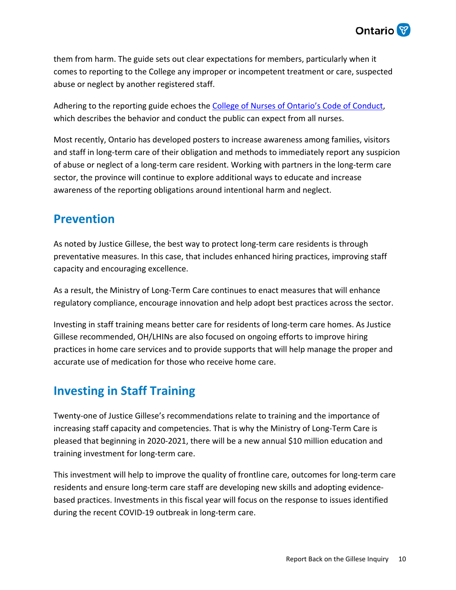

them from harm. The guide sets out clear expectations for members, particularly when it comes to reporting to the College any improper or incompetent treatment or care, suspected abuse or neglect by another registered staff.

Adhering to the reporting guide echoes the [College of Nurses of Ontario's Code of Conduct](http://www.cno.org/codeofconduct), which describes the behavior and conduct the public can expect from all nurses.

Most recently, Ontario has developed posters to increase awareness among families, visitors and staff in long-term care of their obligation and methods to immediately report any suspicion of abuse or neglect of a long-term care resident. Working with partners in the long-term care sector, the province will continue to explore additional ways to educate and increase awareness of the reporting obligations around intentional harm and neglect.

#### <span id="page-9-0"></span>**Prevention**

As noted by Justice Gillese, the best way to protect long-term care residents is through preventative measures. In this case, that includes enhanced hiring practices, improving staff capacity and encouraging excellence.

As a result, the Ministry of Long-Term Care continues to enact measures that will enhance regulatory compliance, encourage innovation and help adopt best practices across the sector.

Investing in staff training means better care for residents of long-term care homes. As Justice Gillese recommended, OH/LHINs are also focused on ongoing efforts to improve hiring practices in home care services and to provide supports that will help manage the proper and accurate use of medication for those who receive home care.

### <span id="page-9-1"></span>**Investing in Staff Training**

Twenty-one of Justice Gillese's recommendations relate to training and the importance of increasing staff capacity and competencies. That is why the Ministry of Long-Term Care is pleased that beginning in 2020-2021, there will be a new annual \$10 million education and training investment for long-term care.

This investment will help to improve the quality of frontline care, outcomes for long-term care residents and ensure long-term care staff are developing new skills and adopting evidencebased practices. Investments in this fiscal year will focus on the response to issues identified during the recent COVID-19 outbreak in long-term care.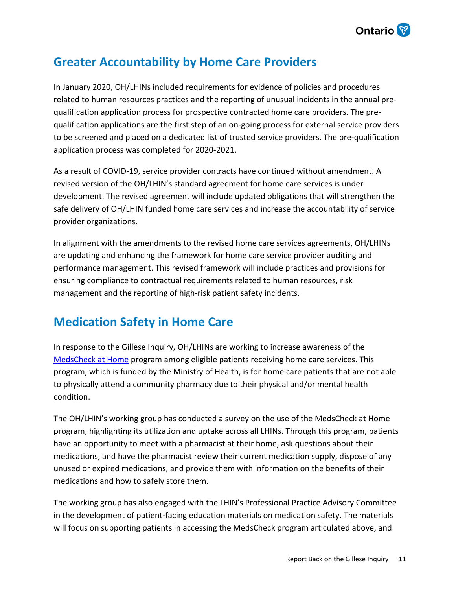

#### <span id="page-10-0"></span>**Greater Accountability by Home Care Providers**

In January 2020, OH/LHINs included requirements for evidence of policies and procedures related to human resources practices and the reporting of unusual incidents in the annual prequalification application process for prospective contracted home care providers. The prequalification applications are the first step of an on-going process for external service providers to be screened and placed on a dedicated list of trusted service providers. The pre-qualification application process was completed for 2020-2021.

As a result of COVID-19, service provider contracts have continued without amendment. A revised version of the OH/LHIN's standard agreement for home care services is under development. The revised agreement will include updated obligations that will strengthen the safe delivery of OH/LHIN funded home care services and increase the accountability of service provider organizations.

In alignment with the amendments to the revised home care services agreements, OH/LHINs are updating and enhancing the framework for home care service provider auditing and performance management. This revised framework will include practices and provisions for ensuring compliance to contractual requirements related to human resources, risk management and the reporting of high-risk patient safety incidents.

### <span id="page-10-1"></span>**Medication Safety in Home Care**

In response to the Gillese Inquiry, OH/LHINs are working to increase awareness of the [MedsCheck at Home](http://www.health.gov.on.ca/en/pro/programs/drugs/medscheck/medscheck_home.aspx) program among eligible patients receiving home care services. This program, which is funded by the Ministry of Health, is for home care patients that are not able to physically attend a community pharmacy due to their physical and/or mental health condition.

The OH/LHIN's working group has conducted a survey on the use of the MedsCheck at Home program, highlighting its utilization and uptake across all LHINs. Through this program, patients have an opportunity to meet with a pharmacist at their home, ask questions about their medications, and have the pharmacist review their current medication supply, dispose of any unused or expired medications, and provide them with information on the benefits of their medications and how to safely store them.

The working group has also engaged with the LHIN's Professional Practice Advisory Committee in the development of patient-facing education materials on medication safety. The materials will focus on supporting patients in accessing the MedsCheck program articulated above, and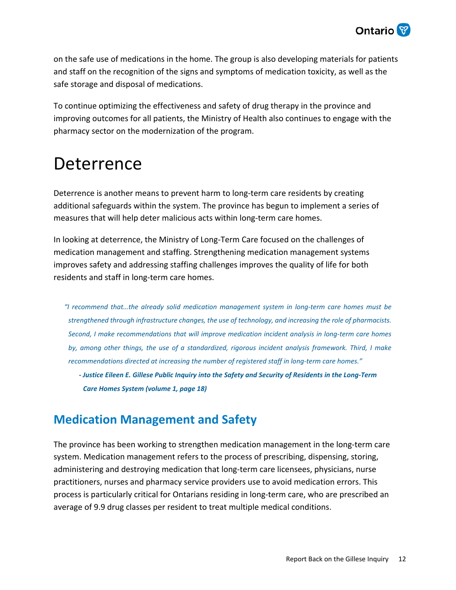

on the safe use of medications in the home. The group is also developing materials for patients and staff on the recognition of the signs and symptoms of medication toxicity, as well as the safe storage and disposal of medications.

To continue optimizing the effectiveness and safety of drug therapy in the province and improving outcomes for all patients, the Ministry of Health also continues to engage with the pharmacy sector on the modernization of the program.

### <span id="page-11-0"></span>Deterrence

Deterrence is another means to prevent harm to long-term care residents by creating additional safeguards within the system. The province has begun to implement a series of measures that will help deter malicious acts within long-term care homes.

In looking at deterrence, the Ministry of Long-Term Care focused on the challenges of medication management and staffing. Strengthening medication management systems improves safety and addressing staffing challenges improves the quality of life for both residents and staff in long-term care homes.

*"I recommend that…the already solid medication management system in long-term care homes must be strengthened through infrastructure changes, the use of technology, and increasing the role of pharmacists. Second, I make recommendations that will improve medication incident analysis in long-term care homes by, among other things, the use of a standardized, rigorous incident analysis framework. Third, I make recommendations directed at increasing the number of registered staff in long-term care homes."*

*- Justice Eileen E. Gillese Public Inquiry into the Safety and Security of Residents in the Long-Term Care Homes System (volume 1, page 18)*

### <span id="page-11-1"></span>**Medication Management and Safety**

The province has been working to strengthen medication management in the long-term care system. Medication management refers to the process of prescribing, dispensing, storing, administering and destroying medication that long-term care licensees, physicians, nurse practitioners, nurses and pharmacy service providers use to avoid medication errors. This process is particularly critical for Ontarians residing in long-term care, who are prescribed an average of 9.9 drug classes per resident to treat multiple medical conditions.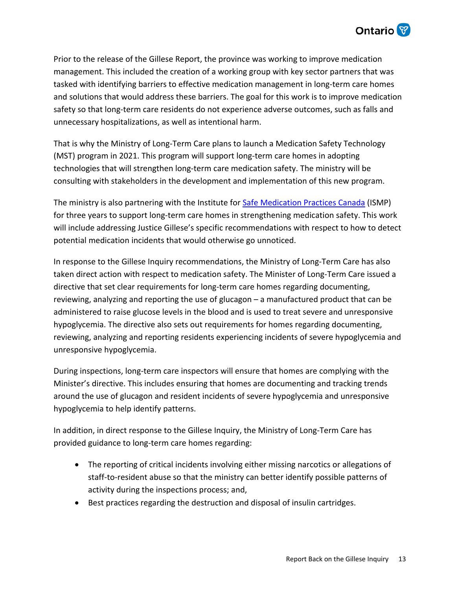

Prior to the release of the Gillese Report, the province was working to improve medication management. This included the creation of a working group with key sector partners that was tasked with identifying barriers to effective medication management in long-term care homes and solutions that would address these barriers. The goal for this work is to improve medication safety so that long-term care residents do not experience adverse outcomes, such as falls and unnecessary hospitalizations, as well as intentional harm.

That is why the Ministry of Long-Term Care plans to launch a Medication Safety Technology (MST) program in 2021. This program will support long-term care homes in adopting technologies that will strengthen long-term care medication safety. The ministry will be consulting with stakeholders in the development and implementation of this new program.

The ministry is also partnering with the Institute for [Safe Medication Practices Canada](https://www.ismp-canada.org/) (ISMP) for three years to support long-term care homes in strengthening medication safety. This work will include addressing Justice Gillese's specific recommendations with respect to how to detect potential medication incidents that would otherwise go unnoticed.

In response to the Gillese Inquiry recommendations, the Ministry of Long-Term Care has also taken direct action with respect to medication safety. The Minister of Long-Term Care issued a directive that set clear requirements for long-term care homes regarding documenting, reviewing, analyzing and reporting the use of glucagon – a manufactured product that can be administered to raise glucose levels in the blood and is used to treat severe and unresponsive hypoglycemia. The directive also sets out requirements for homes regarding documenting, reviewing, analyzing and reporting residents experiencing incidents of severe hypoglycemia and unresponsive hypoglycemia.

During inspections, long-term care inspectors will ensure that homes are complying with the Minister's directive. This includes ensuring that homes are documenting and tracking trends around the use of glucagon and resident incidents of severe hypoglycemia and unresponsive hypoglycemia to help identify patterns.

In addition, in direct response to the Gillese Inquiry, the Ministry of Long-Term Care has provided guidance to long-term care homes regarding:

- The reporting of critical incidents involving either missing narcotics or allegations of staff-to-resident abuse so that the ministry can better identify possible patterns of activity during the inspections process; and,
- Best practices regarding the destruction and disposal of insulin cartridges.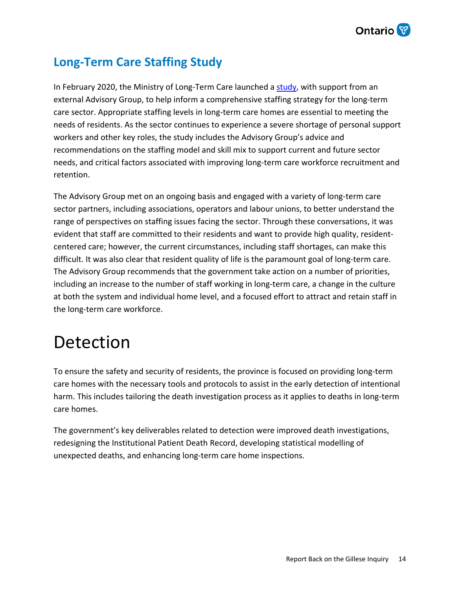

### <span id="page-13-0"></span>**Long-Term Care Staffing Study**

In February 2020, the Ministry of Long-Term Care launched a [study](https://www.ontario.ca/page/long-term-care-staffing-study-report-july-2020), with support from an external Advisory Group, to help inform a comprehensive staffing strategy for the long-term care sector. Appropriate staffing levels in long-term care homes are essential to meeting the needs of residents. As the sector continues to experience a severe shortage of personal support workers and other key roles, the study includes the Advisory Group's advice and recommendations on the staffing model and skill mix to support current and future sector needs, and critical factors associated with improving long-term care workforce recruitment and retention.

The Advisory Group met on an ongoing basis and engaged with a variety of long-term care sector partners, including associations, operators and labour unions, to better understand the range of perspectives on staffing issues facing the sector. Through these conversations, it was evident that staff are committed to their residents and want to provide high quality, residentcentered care; however, the current circumstances, including staff shortages, can make this difficult. It was also clear that resident quality of life is the paramount goal of long-term care. The Advisory Group recommends that the government take action on a number of priorities, including an increase to the number of staff working in long-term care, a change in the culture at both the system and individual home level, and a focused effort to attract and retain staff in the long-term care workforce.

### <span id="page-13-1"></span>Detection

To ensure the safety and security of residents, the province is focused on providing long-term care homes with the necessary tools and protocols to assist in the early detection of intentional harm. This includes tailoring the death investigation process as it applies to deaths in long-term care homes.

The government's key deliverables related to detection were improved death investigations, redesigning the Institutional Patient Death Record, developing statistical modelling of unexpected deaths, and enhancing long-term care home inspections.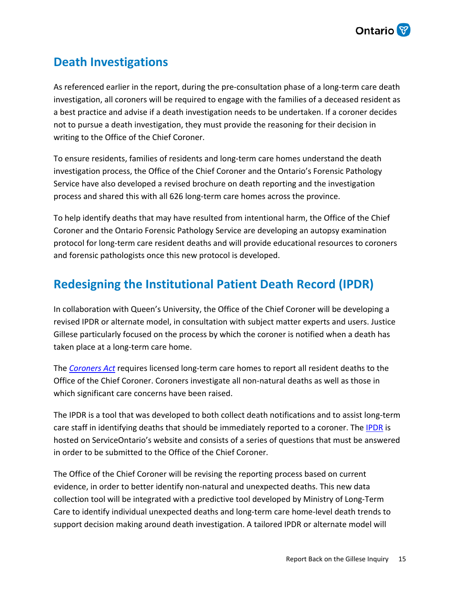

### <span id="page-14-0"></span>**Death Investigations**

As referenced earlier in the report, during the pre-consultation phase of a long-term care death investigation, all coroners will be required to engage with the families of a deceased resident as a best practice and advise if a death investigation needs to be undertaken. If a coroner decides not to pursue a death investigation, they must provide the reasoning for their decision in writing to the Office of the Chief Coroner.

To ensure residents, families of residents and long-term care homes understand the death investigation process, the Office of the Chief Coroner and the Ontario's Forensic Pathology Service have also developed a revised brochure on death reporting and the investigation process and shared this with all 626 long-term care homes across the province.

To help identify deaths that may have resulted from intentional harm, the Office of the Chief Coroner and the Ontario Forensic Pathology Service are developing an autopsy examination protocol for long-term care resident deaths and will provide educational resources to coroners and forensic pathologists once this new protocol is developed.

### <span id="page-14-1"></span>**Redesigning the Institutional Patient Death Record (IPDR)**

In collaboration with Queen's University, the Office of the Chief Coroner will be developing a revised IPDR or alternate model, in consultation with subject matter experts and users. Justice Gillese particularly focused on the process by which the coroner is notified when a death has taken place at a long-term care home.

The *[Coroners Act](https://www.ontario.ca/laws/statute/90c37)* requires licensed long-term care homes to report all resident deaths to the Office of the Chief Coroner. Coroners investigate all non-natural deaths as well as those in which significant care concerns have been raised.

The IPDR is a tool that was developed to both collect death notifications and to assist long-term care staff in identifying deaths that should be immediately reported to a coroner. The [IPDR](https://www.appmybizaccount.gov.on.ca/wps85/osb/public/eform?formNumber=008-0153E&lang=en) is hosted on ServiceOntario's website and consists of a series of questions that must be answered in order to be submitted to the Office of the Chief Coroner.

The Office of the Chief Coroner will be revising the reporting process based on current evidence, in order to better identify non-natural and unexpected deaths. This new data collection tool will be integrated with a predictive tool developed by Ministry of Long-Term Care to identify individual unexpected deaths and long-term care home-level death trends to support decision making around death investigation. A tailored IPDR or alternate model will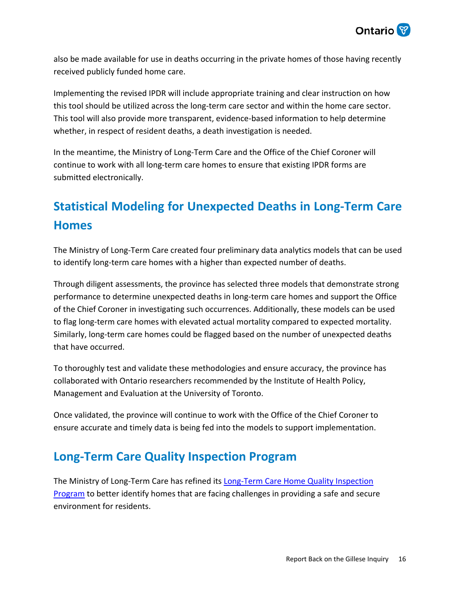

also be made available for use in deaths occurring in the private homes of those having recently received publicly funded home care.

Implementing the revised IPDR will include appropriate training and clear instruction on how this tool should be utilized across the long-term care sector and within the home care sector. This tool will also provide more transparent, evidence-based information to help determine whether, in respect of resident deaths, a death investigation is needed.

In the meantime, the Ministry of Long-Term Care and the Office of the Chief Coroner will continue to work with all long-term care homes to ensure that existing IPDR forms are submitted electronically.

### <span id="page-15-0"></span>**Statistical Modeling for Unexpected Deaths in Long-Term Care Homes**

The Ministry of Long-Term Care created four preliminary data analytics models that can be used to identify long-term care homes with a higher than expected number of deaths.

Through diligent assessments, the province has selected three models that demonstrate strong performance to determine unexpected deaths in long-term care homes and support the Office of the Chief Coroner in investigating such occurrences. Additionally, these models can be used to flag long-term care homes with elevated actual mortality compared to expected mortality. Similarly, long-term care homes could be flagged based on the number of unexpected deaths that have occurred.

To thoroughly test and validate these methodologies and ensure accuracy, the province has collaborated with Ontario researchers recommended by the Institute of Health Policy, Management and Evaluation at the University of Toronto.

Once validated, the province will continue to work with the Office of the Chief Coroner to ensure accurate and timely data is being fed into the models to support implementation.

### <span id="page-15-1"></span>**Long-Term Care Quality Inspection Program**

[The Ministry of Long-Term Care has refined its Long-Term Care Home Quality Inspection](http://www.health.gov.on.ca/en/public/programs/ltc/31_pr_inspections.aspx) Program to better identify homes that are facing challenges in providing a safe and secure environment for residents.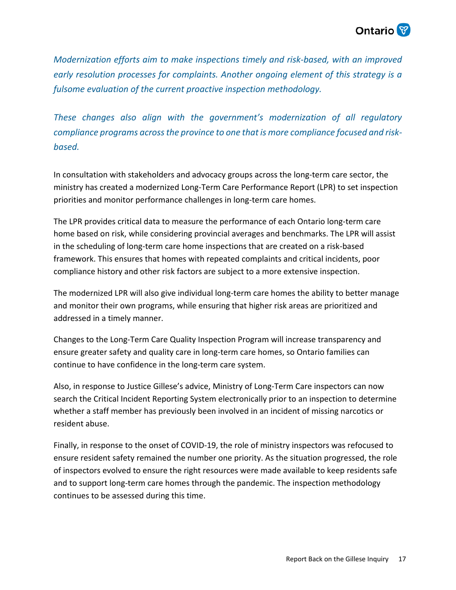

*Modernization efforts aim to make inspections timely and risk-based, with an improved early resolution processes for complaints. Another ongoing element of this strategy is a fulsome evaluation of the current proactive inspection methodology.* 

*These changes also align with the government's modernization of all regulatory compliance programs across the province to one that is more compliance focused and riskbased.*

In consultation with stakeholders and advocacy groups across the long-term care sector, the ministry has created a modernized Long-Term Care Performance Report (LPR) to set inspection priorities and monitor performance challenges in long-term care homes.

The LPR provides critical data to measure the performance of each Ontario long-term care home based on risk, while considering provincial averages and benchmarks. The LPR will assist in the scheduling of long-term care home inspections that are created on a risk-based framework. This ensures that homes with repeated complaints and critical incidents, poor compliance history and other risk factors are subject to a more extensive inspection.

The modernized LPR will also give individual long-term care homes the ability to better manage and monitor their own programs, while ensuring that higher risk areas are prioritized and addressed in a timely manner.

Changes to the Long-Term Care Quality Inspection Program will increase transparency and ensure greater safety and quality care in long-term care homes, so Ontario families can continue to have confidence in the long-term care system.

Also, in response to Justice Gillese's advice, Ministry of Long-Term Care inspectors can now search the Critical Incident Reporting System electronically prior to an inspection to determine whether a staff member has previously been involved in an incident of missing narcotics or resident abuse.

Finally, in response to the onset of COVID-19, the role of ministry inspectors was refocused to ensure resident safety remained the number one priority. As the situation progressed, the role of inspectors evolved to ensure the right resources were made available to keep residents safe and to support long-term care homes through the pandemic. The inspection methodology continues to be assessed during this time.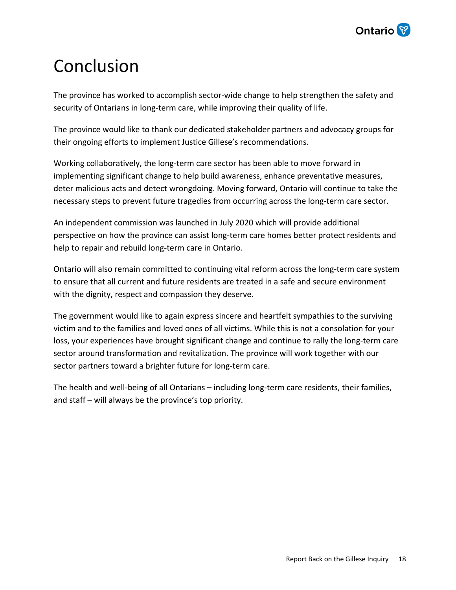

### <span id="page-17-0"></span>Conclusion

The province has worked to accomplish sector-wide change to help strengthen the safety and security of Ontarians in long-term care, while improving their quality of life.

The province would like to thank our dedicated stakeholder partners and advocacy groups for their ongoing efforts to implement Justice Gillese's recommendations.

Working collaboratively, the long-term care sector has been able to move forward in implementing significant change to help build awareness, enhance preventative measures, deter malicious acts and detect wrongdoing. Moving forward, Ontario will continue to take the necessary steps to prevent future tragedies from occurring across the long-term care sector.

An independent commission was launched in July 2020 which will provide additional perspective on how the province can assist long-term care homes better protect residents and help to repair and rebuild long-term care in Ontario.

Ontario will also remain committed to continuing vital reform across the long-term care system to ensure that all current and future residents are treated in a safe and secure environment with the dignity, respect and compassion they deserve.

The government would like to again express sincere and heartfelt sympathies to the surviving victim and to the families and loved ones of all victims. While this is not a consolation for your loss, your experiences have brought significant change and continue to rally the long-term care sector around transformation and revitalization. The province will work together with our sector partners toward a brighter future for long-term care.

The health and well-being of all Ontarians – including long-term care residents, their families, and staff – will always be the province's top priority.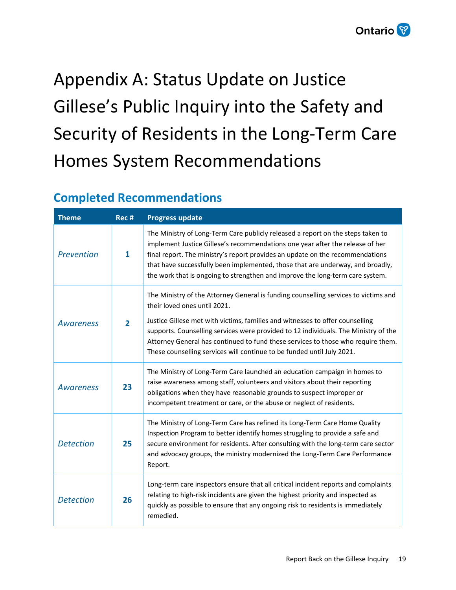## <span id="page-18-0"></span>Appendix A: Status Update on Justice Gillese's Public Inquiry into the Safety and Security of Residents in the Long-Term Care Homes System Recommendations

### <span id="page-18-1"></span>**Completed Recommendations**

| <b>Theme</b>     | Rec #          | <b>Progress update</b>                                                                                                                                                                                                                                                                                                                                                                                                                                    |
|------------------|----------------|-----------------------------------------------------------------------------------------------------------------------------------------------------------------------------------------------------------------------------------------------------------------------------------------------------------------------------------------------------------------------------------------------------------------------------------------------------------|
| Prevention       | $\mathbf{1}$   | The Ministry of Long-Term Care publicly released a report on the steps taken to<br>implement Justice Gillese's recommendations one year after the release of her<br>final report. The ministry's report provides an update on the recommendations<br>that have successfully been implemented, those that are underway, and broadly,<br>the work that is ongoing to strengthen and improve the long-term care system.                                      |
| Awareness        | $\overline{2}$ | The Ministry of the Attorney General is funding counselling services to victims and<br>their loved ones until 2021.<br>Justice Gillese met with victims, families and witnesses to offer counselling<br>supports. Counselling services were provided to 12 individuals. The Ministry of the<br>Attorney General has continued to fund these services to those who require them.<br>These counselling services will continue to be funded until July 2021. |
| Awareness        | 23             | The Ministry of Long-Term Care launched an education campaign in homes to<br>raise awareness among staff, volunteers and visitors about their reporting<br>obligations when they have reasonable grounds to suspect improper or<br>incompetent treatment or care, or the abuse or neglect of residents.                                                                                                                                                   |
| <b>Detection</b> | 25             | The Ministry of Long-Term Care has refined its Long-Term Care Home Quality<br>Inspection Program to better identify homes struggling to provide a safe and<br>secure environment for residents. After consulting with the long-term care sector<br>and advocacy groups, the ministry modernized the Long-Term Care Performance<br>Report.                                                                                                                 |
| <b>Detection</b> | 26             | Long-term care inspectors ensure that all critical incident reports and complaints<br>relating to high-risk incidents are given the highest priority and inspected as<br>quickly as possible to ensure that any ongoing risk to residents is immediately<br>remedied.                                                                                                                                                                                     |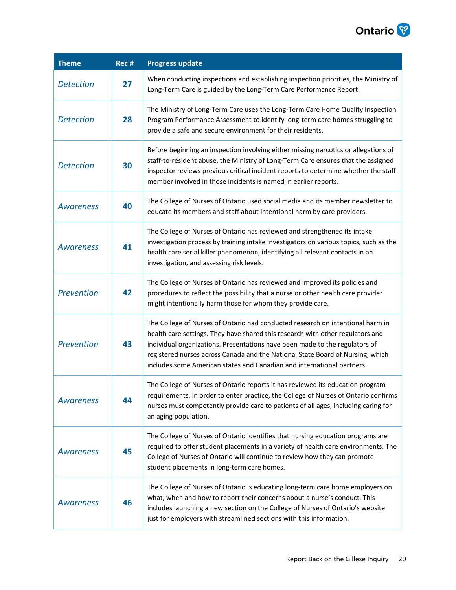

| <b>Theme</b>     | Rec # | <b>Progress update</b>                                                                                                                                                                                                                                                                                                                                                                                      |
|------------------|-------|-------------------------------------------------------------------------------------------------------------------------------------------------------------------------------------------------------------------------------------------------------------------------------------------------------------------------------------------------------------------------------------------------------------|
| <b>Detection</b> | 27    | When conducting inspections and establishing inspection priorities, the Ministry of<br>Long-Term Care is guided by the Long-Term Care Performance Report.                                                                                                                                                                                                                                                   |
| <b>Detection</b> | 28    | The Ministry of Long-Term Care uses the Long-Term Care Home Quality Inspection<br>Program Performance Assessment to identify long-term care homes struggling to<br>provide a safe and secure environment for their residents.                                                                                                                                                                               |
| <b>Detection</b> | 30    | Before beginning an inspection involving either missing narcotics or allegations of<br>staff-to-resident abuse, the Ministry of Long-Term Care ensures that the assigned<br>inspector reviews previous critical incident reports to determine whether the staff<br>member involved in those incidents is named in earlier reports.                                                                          |
| <b>Awareness</b> | 40    | The College of Nurses of Ontario used social media and its member newsletter to<br>educate its members and staff about intentional harm by care providers.                                                                                                                                                                                                                                                  |
| <b>Awareness</b> | 41    | The College of Nurses of Ontario has reviewed and strengthened its intake<br>investigation process by training intake investigators on various topics, such as the<br>health care serial killer phenomenon, identifying all relevant contacts in an<br>investigation, and assessing risk levels.                                                                                                            |
| Prevention       | 42    | The College of Nurses of Ontario has reviewed and improved its policies and<br>procedures to reflect the possibility that a nurse or other health care provider<br>might intentionally harm those for whom they provide care.                                                                                                                                                                               |
| Prevention       | 43    | The College of Nurses of Ontario had conducted research on intentional harm in<br>health care settings. They have shared this research with other regulators and<br>individual organizations. Presentations have been made to the regulators of<br>registered nurses across Canada and the National State Board of Nursing, which<br>includes some American states and Canadian and international partners. |
| <b>Awareness</b> | 44    | The College of Nurses of Ontario reports it has reviewed its education program<br>requirements. In order to enter practice, the College of Nurses of Ontario confirms<br>nurses must competently provide care to patients of all ages, including caring for<br>an aging population.                                                                                                                         |
| <b>Awareness</b> | 45    | The College of Nurses of Ontario identifies that nursing education programs are<br>required to offer student placements in a variety of health care environments. The<br>College of Nurses of Ontario will continue to review how they can promote<br>student placements in long-term care homes.                                                                                                           |
| <b>Awareness</b> | 46    | The College of Nurses of Ontario is educating long-term care home employers on<br>what, when and how to report their concerns about a nurse's conduct. This<br>includes launching a new section on the College of Nurses of Ontario's website<br>just for employers with streamlined sections with this information.                                                                                        |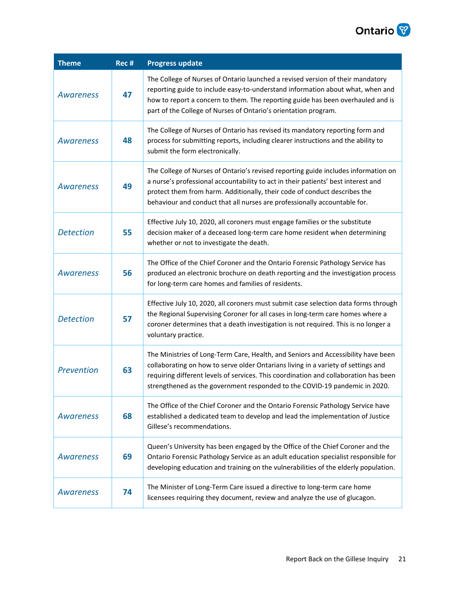

| <b>Theme</b>     | $Rec$ # | <b>Progress update</b>                                                                                                                                                                                                                                                                                                                       |
|------------------|---------|----------------------------------------------------------------------------------------------------------------------------------------------------------------------------------------------------------------------------------------------------------------------------------------------------------------------------------------------|
| <b>Awareness</b> | 47      | The College of Nurses of Ontario launched a revised version of their mandatory<br>reporting guide to include easy-to-understand information about what, when and<br>how to report a concern to them. The reporting guide has been overhauled and is<br>part of the College of Nurses of Ontario's orientation program.                       |
| <b>Awareness</b> | 48      | The College of Nurses of Ontario has revised its mandatory reporting form and<br>process for submitting reports, including clearer instructions and the ability to<br>submit the form electronically.                                                                                                                                        |
| <b>Awareness</b> | 49      | The College of Nurses of Ontario's revised reporting guide includes information on<br>a nurse's professional accountability to act in their patients' best interest and<br>protect them from harm. Additionally, their code of conduct describes the<br>behaviour and conduct that all nurses are professionally accountable for.            |
| <b>Detection</b> | 55      | Effective July 10, 2020, all coroners must engage families or the substitute<br>decision maker of a deceased long-term care home resident when determining<br>whether or not to investigate the death.                                                                                                                                       |
| <b>Awareness</b> | 56      | The Office of the Chief Coroner and the Ontario Forensic Pathology Service has<br>produced an electronic brochure on death reporting and the investigation process<br>for long-term care homes and families of residents.                                                                                                                    |
| <b>Detection</b> | 57      | Effective July 10, 2020, all coroners must submit case selection data forms through<br>the Regional Supervising Coroner for all cases in long-term care homes where a<br>coroner determines that a death investigation is not required. This is no longer a<br>voluntary practice.                                                           |
| Prevention       | 63      | The Ministries of Long-Term Care, Health, and Seniors and Accessibility have been<br>collaborating on how to serve older Ontarians living in a variety of settings and<br>requiring different levels of services. This coordination and collaboration has been<br>strengthened as the government responded to the COVID-19 pandemic in 2020. |
| <b>Awareness</b> | 68      | The Office of the Chief Coroner and the Ontario Forensic Pathology Service have<br>established a dedicated team to develop and lead the implementation of Justice<br>Gillese's recommendations.                                                                                                                                              |
| <b>Awareness</b> | 69      | Queen's University has been engaged by the Office of the Chief Coroner and the<br>Ontario Forensic Pathology Service as an adult education specialist responsible for<br>developing education and training on the vulnerabilities of the elderly population.                                                                                 |
| <b>Awareness</b> | 74      | The Minister of Long-Term Care issued a directive to long-term care home<br>licensees requiring they document, review and analyze the use of glucagon.                                                                                                                                                                                       |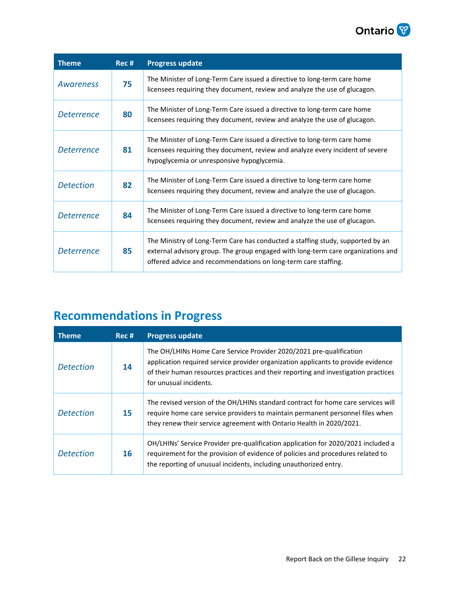

| <b>Theme</b>      | Rec # | <b>Progress update</b>                                                                                                                                                                                                               |
|-------------------|-------|--------------------------------------------------------------------------------------------------------------------------------------------------------------------------------------------------------------------------------------|
| Awareness         | 75    | The Minister of Long-Term Care issued a directive to long-term care home<br>licensees requiring they document, review and analyze the use of glucagon.                                                                               |
| <i>Deterrence</i> | 80    | The Minister of Long-Term Care issued a directive to long-term care home<br>licensees requiring they document, review and analyze the use of glucagon.                                                                               |
| <i>Deterrence</i> | 81    | The Minister of Long-Term Care issued a directive to long-term care home<br>licensees requiring they document, review and analyze every incident of severe<br>hypoglycemia or unresponsive hypoglycemia.                             |
| <b>Detection</b>  | 82    | The Minister of Long-Term Care issued a directive to long-term care home<br>licensees requiring they document, review and analyze the use of glucagon.                                                                               |
| <i>Deterrence</i> | 84    | The Minister of Long-Term Care issued a directive to long-term care home<br>licensees requiring they document, review and analyze the use of glucagon.                                                                               |
| <i>Deterrence</i> | 85    | The Ministry of Long-Term Care has conducted a staffing study, supported by an<br>external advisory group. The group engaged with long-term care organizations and<br>offered advice and recommendations on long-term care staffing. |

### <span id="page-21-0"></span>**Recommendations in Progress**

| <b>Theme</b>     | Rec # | <b>Progress update</b>                                                                                                                                                                                                                                                   |
|------------------|-------|--------------------------------------------------------------------------------------------------------------------------------------------------------------------------------------------------------------------------------------------------------------------------|
| <b>Detection</b> | 14    | The OH/LHINs Home Care Service Provider 2020/2021 pre-qualification<br>application required service provider organization applicants to provide evidence<br>of their human resources practices and their reporting and investigation practices<br>for unusual incidents. |
| <b>Detection</b> | 15    | The revised version of the OH/LHINs standard contract for home care services will<br>require home care service providers to maintain permanent personnel files when<br>they renew their service agreement with Ontario Health in 2020/2021.                              |
| <b>Detection</b> | 16    | OH/LHINs' Service Provider pre-qualification application for 2020/2021 included a<br>requirement for the provision of evidence of policies and procedures related to<br>the reporting of unusual incidents, including unauthorized entry.                                |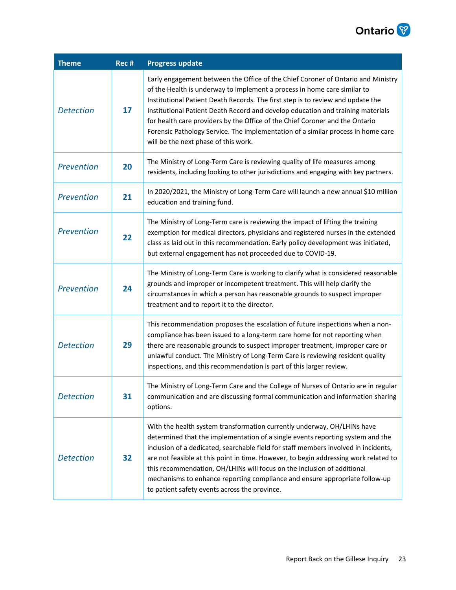

| <b>Theme</b>     | Rec # | <b>Progress update</b>                                                                                                                                                                                                                                                                                                                                                                                                                                                                                                                              |
|------------------|-------|-----------------------------------------------------------------------------------------------------------------------------------------------------------------------------------------------------------------------------------------------------------------------------------------------------------------------------------------------------------------------------------------------------------------------------------------------------------------------------------------------------------------------------------------------------|
| <b>Detection</b> | 17    | Early engagement between the Office of the Chief Coroner of Ontario and Ministry<br>of the Health is underway to implement a process in home care similar to<br>Institutional Patient Death Records. The first step is to review and update the<br>Institutional Patient Death Record and develop education and training materials<br>for health care providers by the Office of the Chief Coroner and the Ontario<br>Forensic Pathology Service. The implementation of a similar process in home care<br>will be the next phase of this work.      |
| Prevention       | 20    | The Ministry of Long-Term Care is reviewing quality of life measures among<br>residents, including looking to other jurisdictions and engaging with key partners.                                                                                                                                                                                                                                                                                                                                                                                   |
| Prevention       | 21    | In 2020/2021, the Ministry of Long-Term Care will launch a new annual \$10 million<br>education and training fund.                                                                                                                                                                                                                                                                                                                                                                                                                                  |
| Prevention       | 22    | The Ministry of Long-Term care is reviewing the impact of lifting the training<br>exemption for medical directors, physicians and registered nurses in the extended<br>class as laid out in this recommendation. Early policy development was initiated,<br>but external engagement has not proceeded due to COVID-19.                                                                                                                                                                                                                              |
| Prevention       | 24    | The Ministry of Long-Term Care is working to clarify what is considered reasonable<br>grounds and improper or incompetent treatment. This will help clarify the<br>circumstances in which a person has reasonable grounds to suspect improper<br>treatment and to report it to the director.                                                                                                                                                                                                                                                        |
| <b>Detection</b> | 29    | This recommendation proposes the escalation of future inspections when a non-<br>compliance has been issued to a long-term care home for not reporting when<br>there are reasonable grounds to suspect improper treatment, improper care or<br>unlawful conduct. The Ministry of Long-Term Care is reviewing resident quality<br>inspections, and this recommendation is part of this larger review.                                                                                                                                                |
| <b>Detection</b> | 31    | The Ministry of Long-Term Care and the College of Nurses of Ontario are in regular<br>communication and are discussing formal communication and information sharing<br>options.                                                                                                                                                                                                                                                                                                                                                                     |
| <b>Detection</b> | 32    | With the health system transformation currently underway, OH/LHINs have<br>determined that the implementation of a single events reporting system and the<br>inclusion of a dedicated, searchable field for staff members involved in incidents,<br>are not feasible at this point in time. However, to begin addressing work related to<br>this recommendation, OH/LHINs will focus on the inclusion of additional<br>mechanisms to enhance reporting compliance and ensure appropriate follow-up<br>to patient safety events across the province. |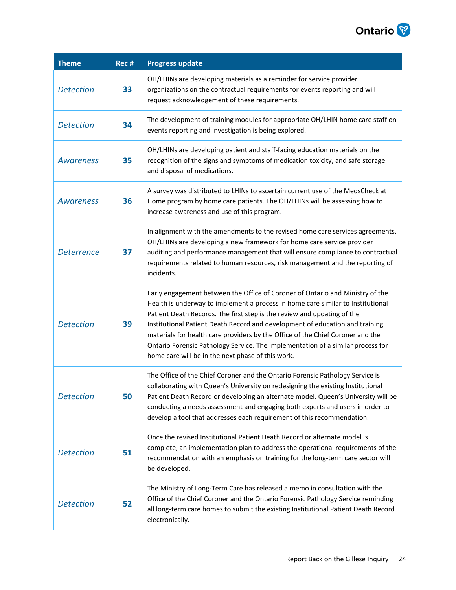

| <b>Theme</b>      | Rec # | <b>Progress update</b>                                                                                                                                                                                                                                                                                                                                                                                                                                                                                                                                |
|-------------------|-------|-------------------------------------------------------------------------------------------------------------------------------------------------------------------------------------------------------------------------------------------------------------------------------------------------------------------------------------------------------------------------------------------------------------------------------------------------------------------------------------------------------------------------------------------------------|
| <b>Detection</b>  | 33    | OH/LHINs are developing materials as a reminder for service provider<br>organizations on the contractual requirements for events reporting and will<br>request acknowledgement of these requirements.                                                                                                                                                                                                                                                                                                                                                 |
| <b>Detection</b>  | 34    | The development of training modules for appropriate OH/LHIN home care staff on<br>events reporting and investigation is being explored.                                                                                                                                                                                                                                                                                                                                                                                                               |
| <b>Awareness</b>  | 35    | OH/LHINs are developing patient and staff-facing education materials on the<br>recognition of the signs and symptoms of medication toxicity, and safe storage<br>and disposal of medications.                                                                                                                                                                                                                                                                                                                                                         |
| <b>Awareness</b>  | 36    | A survey was distributed to LHINs to ascertain current use of the MedsCheck at<br>Home program by home care patients. The OH/LHINs will be assessing how to<br>increase awareness and use of this program.                                                                                                                                                                                                                                                                                                                                            |
| <b>Deterrence</b> | 37    | In alignment with the amendments to the revised home care services agreements,<br>OH/LHINs are developing a new framework for home care service provider<br>auditing and performance management that will ensure compliance to contractual<br>requirements related to human resources, risk management and the reporting of<br>incidents.                                                                                                                                                                                                             |
| <b>Detection</b>  | 39    | Early engagement between the Office of Coroner of Ontario and Ministry of the<br>Health is underway to implement a process in home care similar to Institutional<br>Patient Death Records. The first step is the review and updating of the<br>Institutional Patient Death Record and development of education and training<br>materials for health care providers by the Office of the Chief Coroner and the<br>Ontario Forensic Pathology Service. The implementation of a similar process for<br>home care will be in the next phase of this work. |
| <b>Detection</b>  | 50    | The Office of the Chief Coroner and the Ontario Forensic Pathology Service is<br>collaborating with Queen's University on redesigning the existing Institutional<br>Patient Death Record or developing an alternate model. Queen's University will be<br>conducting a needs assessment and engaging both experts and users in order to<br>develop a tool that addresses each requirement of this recommendation.                                                                                                                                      |
| <b>Detection</b>  | 51    | Once the revised Institutional Patient Death Record or alternate model is<br>complete, an implementation plan to address the operational requirements of the<br>recommendation with an emphasis on training for the long-term care sector will<br>be developed.                                                                                                                                                                                                                                                                                       |
| <b>Detection</b>  | 52    | The Ministry of Long-Term Care has released a memo in consultation with the<br>Office of the Chief Coroner and the Ontario Forensic Pathology Service reminding<br>all long-term care homes to submit the existing Institutional Patient Death Record<br>electronically.                                                                                                                                                                                                                                                                              |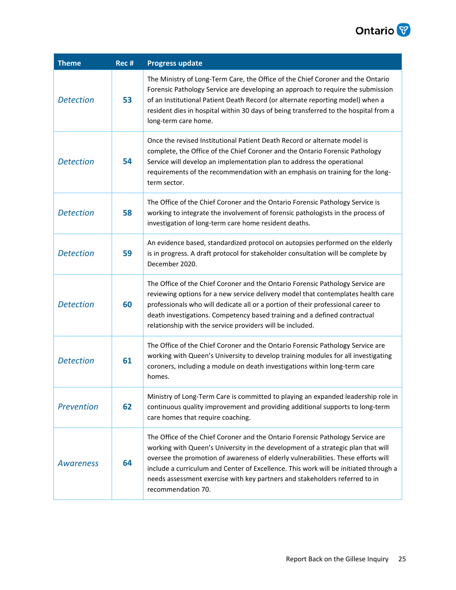

| <b>Theme</b>      | Rec # | <b>Progress update</b>                                                                                                                                                                                                                                                                                                                                                                                                                               |
|-------------------|-------|------------------------------------------------------------------------------------------------------------------------------------------------------------------------------------------------------------------------------------------------------------------------------------------------------------------------------------------------------------------------------------------------------------------------------------------------------|
| <b>Detection</b>  | 53    | The Ministry of Long-Term Care, the Office of the Chief Coroner and the Ontario<br>Forensic Pathology Service are developing an approach to require the submission<br>of an Institutional Patient Death Record (or alternate reporting model) when a<br>resident dies in hospital within 30 days of being transferred to the hospital from a<br>long-term care home.                                                                                 |
| <b>Detection</b>  | 54    | Once the revised Institutional Patient Death Record or alternate model is<br>complete, the Office of the Chief Coroner and the Ontario Forensic Pathology<br>Service will develop an implementation plan to address the operational<br>requirements of the recommendation with an emphasis on training for the long-<br>term sector.                                                                                                                 |
| <b>Detection</b>  | 58    | The Office of the Chief Coroner and the Ontario Forensic Pathology Service is<br>working to integrate the involvement of forensic pathologists in the process of<br>investigation of long-term care home resident deaths.                                                                                                                                                                                                                            |
| <b>Detection</b>  | 59    | An evidence based, standardized protocol on autopsies performed on the elderly<br>is in progress. A draft protocol for stakeholder consultation will be complete by<br>December 2020.                                                                                                                                                                                                                                                                |
| <b>Detection</b>  | 60    | The Office of the Chief Coroner and the Ontario Forensic Pathology Service are<br>reviewing options for a new service delivery model that contemplates health care<br>professionals who will dedicate all or a portion of their professional career to<br>death investigations. Competency based training and a defined contractual<br>relationship with the service providers will be included.                                                     |
| <b>Detection</b>  | 61    | The Office of the Chief Coroner and the Ontario Forensic Pathology Service are<br>working with Queen's University to develop training modules for all investigating<br>coroners, including a module on death investigations within long-term care<br>homes.                                                                                                                                                                                          |
| <b>Prevention</b> | 62    | Ministry of Long-Term Care is committed to playing an expanded leadership role in<br>continuous quality improvement and providing additional supports to long-term<br>care homes that require coaching.                                                                                                                                                                                                                                              |
| <b>Awareness</b>  | 64    | The Office of the Chief Coroner and the Ontario Forensic Pathology Service are<br>working with Queen's University in the development of a strategic plan that will<br>oversee the promotion of awareness of elderly vulnerabilities. These efforts will<br>include a curriculum and Center of Excellence. This work will be initiated through a<br>needs assessment exercise with key partners and stakeholders referred to in<br>recommendation 70. |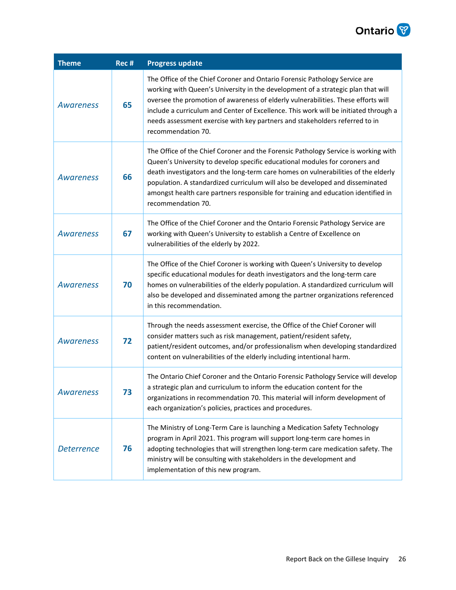

| <b>Theme</b>      | Rec # | <b>Progress update</b>                                                                                                                                                                                                                                                                                                                                                                                                                              |
|-------------------|-------|-----------------------------------------------------------------------------------------------------------------------------------------------------------------------------------------------------------------------------------------------------------------------------------------------------------------------------------------------------------------------------------------------------------------------------------------------------|
| <b>Awareness</b>  | 65    | The Office of the Chief Coroner and Ontario Forensic Pathology Service are<br>working with Queen's University in the development of a strategic plan that will<br>oversee the promotion of awareness of elderly vulnerabilities. These efforts will<br>include a curriculum and Center of Excellence. This work will be initiated through a<br>needs assessment exercise with key partners and stakeholders referred to in<br>recommendation 70.    |
| <b>Awareness</b>  | 66    | The Office of the Chief Coroner and the Forensic Pathology Service is working with<br>Queen's University to develop specific educational modules for coroners and<br>death investigators and the long-term care homes on vulnerabilities of the elderly<br>population. A standardized curriculum will also be developed and disseminated<br>amongst health care partners responsible for training and education identified in<br>recommendation 70. |
| <b>Awareness</b>  | 67    | The Office of the Chief Coroner and the Ontario Forensic Pathology Service are<br>working with Queen's University to establish a Centre of Excellence on<br>vulnerabilities of the elderly by 2022.                                                                                                                                                                                                                                                 |
| <b>Awareness</b>  | 70    | The Office of the Chief Coroner is working with Queen's University to develop<br>specific educational modules for death investigators and the long-term care<br>homes on vulnerabilities of the elderly population. A standardized curriculum will<br>also be developed and disseminated among the partner organizations referenced<br>in this recommendation.                                                                                      |
| <b>Awareness</b>  | 72    | Through the needs assessment exercise, the Office of the Chief Coroner will<br>consider matters such as risk management, patient/resident safety,<br>patient/resident outcomes, and/or professionalism when developing standardized<br>content on vulnerabilities of the elderly including intentional harm.                                                                                                                                        |
| Awareness         | 73    | The Ontario Chief Coroner and the Ontario Forensic Pathology Service will develop<br>a strategic plan and curriculum to inform the education content for the<br>organizations in recommendation 70. This material will inform development of<br>each organization's policies, practices and procedures.                                                                                                                                             |
| <b>Deterrence</b> | 76    | The Ministry of Long-Term Care is launching a Medication Safety Technology<br>program in April 2021. This program will support long-term care homes in<br>adopting technologies that will strengthen long-term care medication safety. The<br>ministry will be consulting with stakeholders in the development and<br>implementation of this new program.                                                                                           |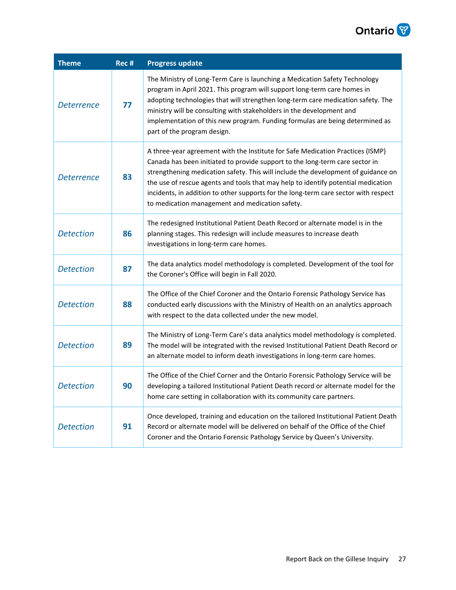

| <b>Theme</b>     | Rec # | <b>Progress update</b>                                                                                                                                                                                                                                                                                                                                                                                                                                                             |
|------------------|-------|------------------------------------------------------------------------------------------------------------------------------------------------------------------------------------------------------------------------------------------------------------------------------------------------------------------------------------------------------------------------------------------------------------------------------------------------------------------------------------|
| Deterrence       | 77    | The Ministry of Long-Term Care is launching a Medication Safety Technology<br>program in April 2021. This program will support long-term care homes in<br>adopting technologies that will strengthen long-term care medication safety. The<br>ministry will be consulting with stakeholders in the development and<br>implementation of this new program. Funding formulas are being determined as<br>part of the program design.                                                  |
| Deterrence       | 83    | A three-year agreement with the Institute for Safe Medication Practices (ISMP)<br>Canada has been initiated to provide support to the long-term care sector in<br>strengthening medication safety. This will include the development of guidance on<br>the use of rescue agents and tools that may help to identify potential medication<br>incidents, in addition to other supports for the long-term care sector with respect<br>to medication management and medication safety. |
| <b>Detection</b> | 86    | The redesigned Institutional Patient Death Record or alternate model is in the<br>planning stages. This redesign will include measures to increase death<br>investigations in long-term care homes.                                                                                                                                                                                                                                                                                |
| <b>Detection</b> | 87    | The data analytics model methodology is completed. Development of the tool for<br>the Coroner's Office will begin in Fall 2020.                                                                                                                                                                                                                                                                                                                                                    |
| <b>Detection</b> | 88    | The Office of the Chief Coroner and the Ontario Forensic Pathology Service has<br>conducted early discussions with the Ministry of Health on an analytics approach<br>with respect to the data collected under the new model.                                                                                                                                                                                                                                                      |
| <b>Detection</b> | 89    | The Ministry of Long-Term Care's data analytics model methodology is completed.<br>The model will be integrated with the revised Institutional Patient Death Record or<br>an alternate model to inform death investigations in long-term care homes.                                                                                                                                                                                                                               |
| <b>Detection</b> | 90    | The Office of the Chief Corner and the Ontario Forensic Pathology Service will be<br>developing a tailored Institutional Patient Death record or alternate model for the<br>home care setting in collaboration with its community care partners.                                                                                                                                                                                                                                   |
| <b>Detection</b> | 91    | Once developed, training and education on the tailored Institutional Patient Death<br>Record or alternate model will be delivered on behalf of the Office of the Chief<br>Coroner and the Ontario Forensic Pathology Service by Queen's University.                                                                                                                                                                                                                                |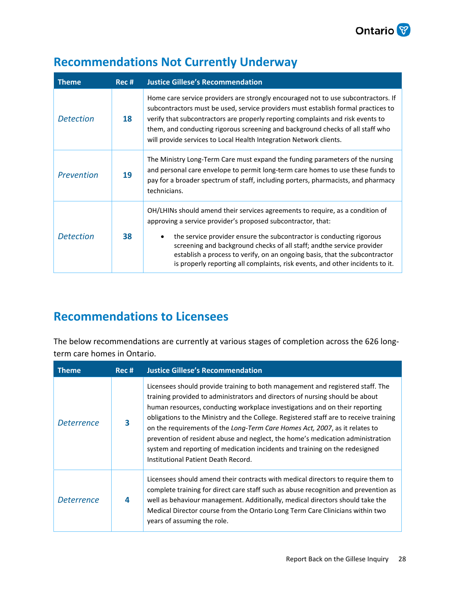

| <b>Theme</b>     | Rec # | <b>Justice Gillese's Recommendation</b>                                                                                                                                                                                                                                                                                                                                                                                                                        |
|------------------|-------|----------------------------------------------------------------------------------------------------------------------------------------------------------------------------------------------------------------------------------------------------------------------------------------------------------------------------------------------------------------------------------------------------------------------------------------------------------------|
| <b>Detection</b> | 18    | Home care service providers are strongly encouraged not to use subcontractors. If<br>subcontractors must be used, service providers must establish formal practices to<br>verify that subcontractors are properly reporting complaints and risk events to<br>them, and conducting rigorous screening and background checks of all staff who<br>will provide services to Local Health Integration Network clients.                                              |
| Prevention       | 19    | The Ministry Long-Term Care must expand the funding parameters of the nursing<br>and personal care envelope to permit long-term care homes to use these funds to<br>pay for a broader spectrum of staff, including porters, pharmacists, and pharmacy<br>technicians.                                                                                                                                                                                          |
| <b>Detection</b> | 38    | OH/LHINs should amend their services agreements to require, as a condition of<br>approving a service provider's proposed subcontractor, that:<br>the service provider ensure the subcontractor is conducting rigorous<br>screening and background checks of all staff; and the service provider<br>establish a process to verify, on an ongoing basis, that the subcontractor<br>is properly reporting all complaints, risk events, and other incidents to it. |

### <span id="page-27-0"></span>**Recommendations Not Currently Underway**

### <span id="page-27-1"></span>**Recommendations to Licensees**

The below recommendations are currently at various stages of completion across the 626 longterm care homes in Ontario.

| <b>Theme</b>      | Rec # | <b>Justice Gillese's Recommendation</b>                                                                                                                                                                                                                                                                                                                                                                                                                                                                                                                                                                                       |
|-------------------|-------|-------------------------------------------------------------------------------------------------------------------------------------------------------------------------------------------------------------------------------------------------------------------------------------------------------------------------------------------------------------------------------------------------------------------------------------------------------------------------------------------------------------------------------------------------------------------------------------------------------------------------------|
| <i>Deterrence</i> | 3     | Licensees should provide training to both management and registered staff. The<br>training provided to administrators and directors of nursing should be about<br>human resources, conducting workplace investigations and on their reporting<br>obligations to the Ministry and the College. Registered staff are to receive training<br>on the requirements of the Long-Term Care Homes Act, 2007, as it relates to<br>prevention of resident abuse and neglect, the home's medication administration<br>system and reporting of medication incidents and training on the redesigned<br>Institutional Patient Death Record. |
| <b>Deterrence</b> | 4     | Licensees should amend their contracts with medical directors to require them to<br>complete training for direct care staff such as abuse recognition and prevention as<br>well as behaviour management. Additionally, medical directors should take the<br>Medical Director course from the Ontario Long Term Care Clinicians within two<br>years of assuming the role.                                                                                                                                                                                                                                                      |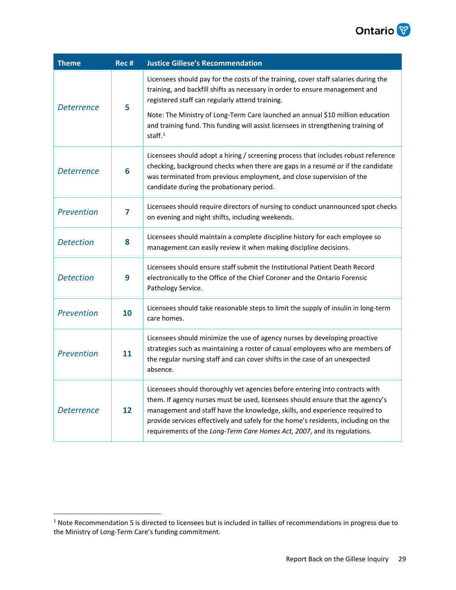

| <b>Theme</b>      | Rec # | <b>Justice Gillese's Recommendation</b>                                                                                                                                                                                                                                                                                                                                                                         |
|-------------------|-------|-----------------------------------------------------------------------------------------------------------------------------------------------------------------------------------------------------------------------------------------------------------------------------------------------------------------------------------------------------------------------------------------------------------------|
| <b>Deterrence</b> | 5     | Licensees should pay for the costs of the training, cover staff salaries during the<br>training, and backfill shifts as necessary in order to ensure management and<br>registered staff can regularly attend training.                                                                                                                                                                                          |
|                   |       | Note: The Ministry of Long-Term Care launched an annual \$10 million education<br>and training fund. This funding will assist licensees in strengthening training of<br>staff. $1$                                                                                                                                                                                                                              |
| <b>Deterrence</b> | 6     | Licensees should adopt a hiring / screening process that includes robust reference<br>checking, background checks when there are gaps in a resumé or if the candidate<br>was terminated from previous employment, and close supervision of the<br>candidate during the probationary period.                                                                                                                     |
| Prevention        | 7     | Licensees should require directors of nursing to conduct unannounced spot checks<br>on evening and night shifts, including weekends.                                                                                                                                                                                                                                                                            |
| <b>Detection</b>  | 8     | Licensees should maintain a complete discipline history for each employee so<br>management can easily review it when making discipline decisions.                                                                                                                                                                                                                                                               |
| <b>Detection</b>  | 9     | Licensees should ensure staff submit the Institutional Patient Death Record<br>electronically to the Office of the Chief Coroner and the Ontario Forensic<br>Pathology Service.                                                                                                                                                                                                                                 |
| Prevention        | 10    | Licensees should take reasonable steps to limit the supply of insulin in long-term<br>care homes.                                                                                                                                                                                                                                                                                                               |
| Prevention        | 11    | Licensees should minimize the use of agency nurses by developing proactive<br>strategies such as maintaining a roster of casual employees who are members of<br>the regular nursing staff and can cover shifts in the case of an unexpected<br>absence.                                                                                                                                                         |
| Deterrence        | 12    | Licensees should thoroughly vet agencies before entering into contracts with<br>them. If agency nurses must be used, licensees should ensure that the agency's<br>management and staff have the knowledge, skills, and experience required to<br>provide services effectively and safely for the home's residents, including on the<br>requirements of the Long-Term Care Homes Act, 2007, and its regulations. |

<sup>1</sup> Note Recommendation 5 is directed to licensees but is included in tallies of recommendations in progress due to the Ministry of Long-Term Care's funding commitment.